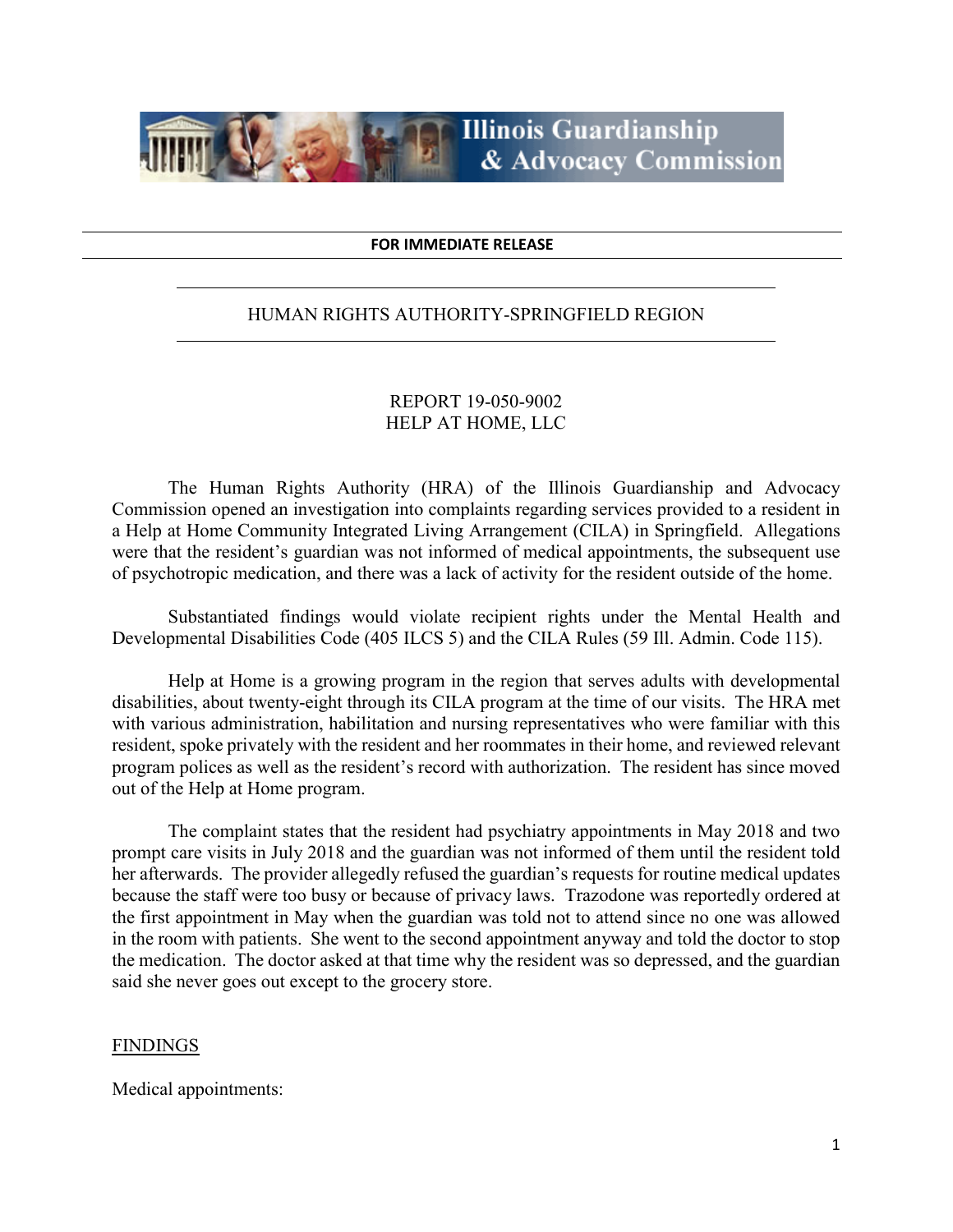

#### **FOR IMMEDIATE RELEASE**

### HUMAN RIGHTS AUTHORITY-SPRINGFIELD REGION

## REPORT 19-050-9002 HELP AT HOME, LLC

The Human Rights Authority (HRA) of the Illinois Guardianship and Advocacy Commission opened an investigation into complaints regarding services provided to a resident in a Help at Home Community Integrated Living Arrangement (CILA) in Springfield. Allegations were that the resident's guardian was not informed of medical appointments, the subsequent use of psychotropic medication, and there was a lack of activity for the resident outside of the home.

Substantiated findings would violate recipient rights under the Mental Health and Developmental Disabilities Code (405 ILCS 5) and the CILA Rules (59 Ill. Admin. Code 115).

Help at Home is a growing program in the region that serves adults with developmental disabilities, about twenty-eight through its CILA program at the time of our visits. The HRA met with various administration, habilitation and nursing representatives who were familiar with this resident, spoke privately with the resident and her roommates in their home, and reviewed relevant program polices as well as the resident's record with authorization. The resident has since moved out of the Help at Home program.

The complaint states that the resident had psychiatry appointments in May 2018 and two prompt care visits in July 2018 and the guardian was not informed of them until the resident told her afterwards. The provider allegedly refused the guardian's requests for routine medical updates because the staff were too busy or because of privacy laws. Trazodone was reportedly ordered at the first appointment in May when the guardian was told not to attend since no one was allowed in the room with patients. She went to the second appointment anyway and told the doctor to stop the medication. The doctor asked at that time why the resident was so depressed, and the guardian said she never goes out except to the grocery store.

### **FINDINGS**

Medical appointments: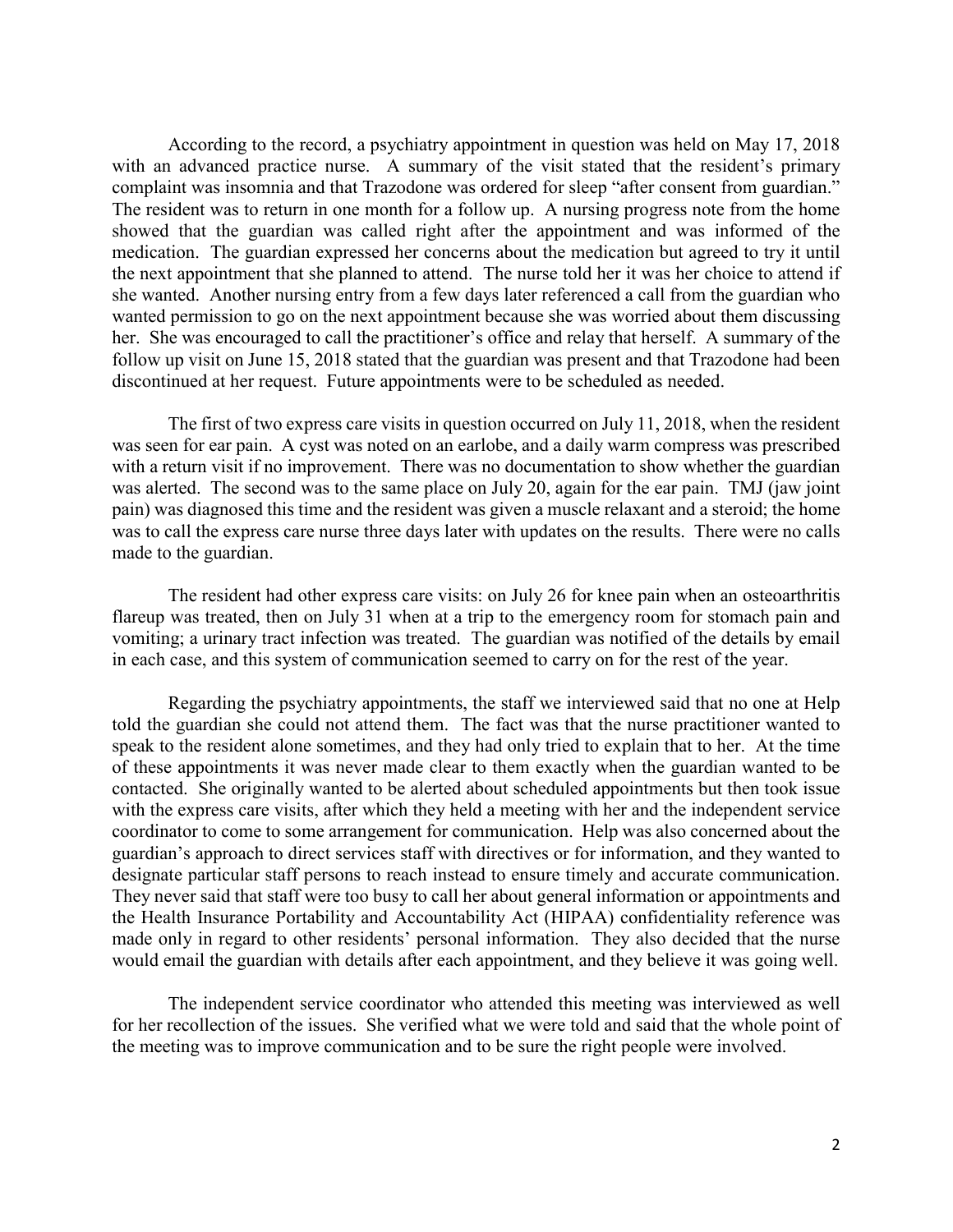According to the record, a psychiatry appointment in question was held on May 17, 2018 with an advanced practice nurse. A summary of the visit stated that the resident's primary complaint was insomnia and that Trazodone was ordered for sleep "after consent from guardian." The resident was to return in one month for a follow up. A nursing progress note from the home showed that the guardian was called right after the appointment and was informed of the medication. The guardian expressed her concerns about the medication but agreed to try it until the next appointment that she planned to attend. The nurse told her it was her choice to attend if she wanted. Another nursing entry from a few days later referenced a call from the guardian who wanted permission to go on the next appointment because she was worried about them discussing her. She was encouraged to call the practitioner's office and relay that herself. A summary of the follow up visit on June 15, 2018 stated that the guardian was present and that Trazodone had been discontinued at her request. Future appointments were to be scheduled as needed.

The first of two express care visits in question occurred on July 11, 2018, when the resident was seen for ear pain. A cyst was noted on an earlobe, and a daily warm compress was prescribed with a return visit if no improvement. There was no documentation to show whether the guardian was alerted. The second was to the same place on July 20, again for the ear pain. TMJ (jaw joint pain) was diagnosed this time and the resident was given a muscle relaxant and a steroid; the home was to call the express care nurse three days later with updates on the results. There were no calls made to the guardian.

The resident had other express care visits: on July 26 for knee pain when an osteoarthritis flareup was treated, then on July 31 when at a trip to the emergency room for stomach pain and vomiting; a urinary tract infection was treated. The guardian was notified of the details by email in each case, and this system of communication seemed to carry on for the rest of the year.

Regarding the psychiatry appointments, the staff we interviewed said that no one at Help told the guardian she could not attend them. The fact was that the nurse practitioner wanted to speak to the resident alone sometimes, and they had only tried to explain that to her. At the time of these appointments it was never made clear to them exactly when the guardian wanted to be contacted. She originally wanted to be alerted about scheduled appointments but then took issue with the express care visits, after which they held a meeting with her and the independent service coordinator to come to some arrangement for communication. Help was also concerned about the guardian's approach to direct services staff with directives or for information, and they wanted to designate particular staff persons to reach instead to ensure timely and accurate communication. They never said that staff were too busy to call her about general information or appointments and the Health Insurance Portability and Accountability Act (HIPAA) confidentiality reference was made only in regard to other residents' personal information. They also decided that the nurse would email the guardian with details after each appointment, and they believe it was going well.

The independent service coordinator who attended this meeting was interviewed as well for her recollection of the issues. She verified what we were told and said that the whole point of the meeting was to improve communication and to be sure the right people were involved.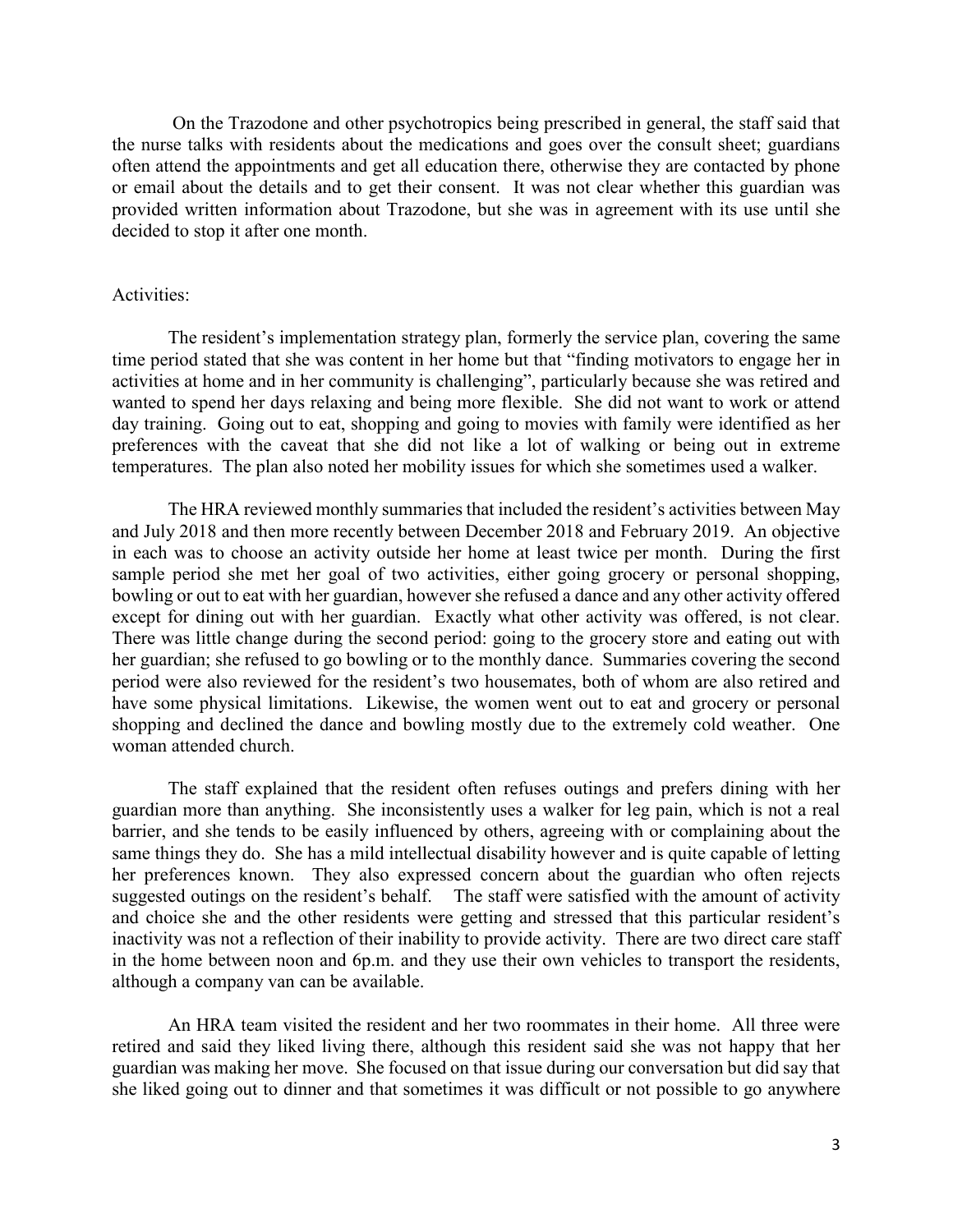On the Trazodone and other psychotropics being prescribed in general, the staff said that the nurse talks with residents about the medications and goes over the consult sheet; guardians often attend the appointments and get all education there, otherwise they are contacted by phone or email about the details and to get their consent. It was not clear whether this guardian was provided written information about Trazodone, but she was in agreement with its use until she decided to stop it after one month.

### Activities:

The resident's implementation strategy plan, formerly the service plan, covering the same time period stated that she was content in her home but that "finding motivators to engage her in activities at home and in her community is challenging", particularly because she was retired and wanted to spend her days relaxing and being more flexible. She did not want to work or attend day training. Going out to eat, shopping and going to movies with family were identified as her preferences with the caveat that she did not like a lot of walking or being out in extreme temperatures. The plan also noted her mobility issues for which she sometimes used a walker.

The HRA reviewed monthly summaries that included the resident's activities between May and July 2018 and then more recently between December 2018 and February 2019. An objective in each was to choose an activity outside her home at least twice per month. During the first sample period she met her goal of two activities, either going grocery or personal shopping, bowling or out to eat with her guardian, however she refused a dance and any other activity offered except for dining out with her guardian. Exactly what other activity was offered, is not clear. There was little change during the second period: going to the grocery store and eating out with her guardian; she refused to go bowling or to the monthly dance. Summaries covering the second period were also reviewed for the resident's two housemates, both of whom are also retired and have some physical limitations. Likewise, the women went out to eat and grocery or personal shopping and declined the dance and bowling mostly due to the extremely cold weather. One woman attended church.

The staff explained that the resident often refuses outings and prefers dining with her guardian more than anything. She inconsistently uses a walker for leg pain, which is not a real barrier, and she tends to be easily influenced by others, agreeing with or complaining about the same things they do. She has a mild intellectual disability however and is quite capable of letting her preferences known. They also expressed concern about the guardian who often rejects suggested outings on the resident's behalf. The staff were satisfied with the amount of activity and choice she and the other residents were getting and stressed that this particular resident's inactivity was not a reflection of their inability to provide activity. There are two direct care staff in the home between noon and 6p.m. and they use their own vehicles to transport the residents, although a company van can be available.

An HRA team visited the resident and her two roommates in their home. All three were retired and said they liked living there, although this resident said she was not happy that her guardian was making her move. She focused on that issue during our conversation but did say that she liked going out to dinner and that sometimes it was difficult or not possible to go anywhere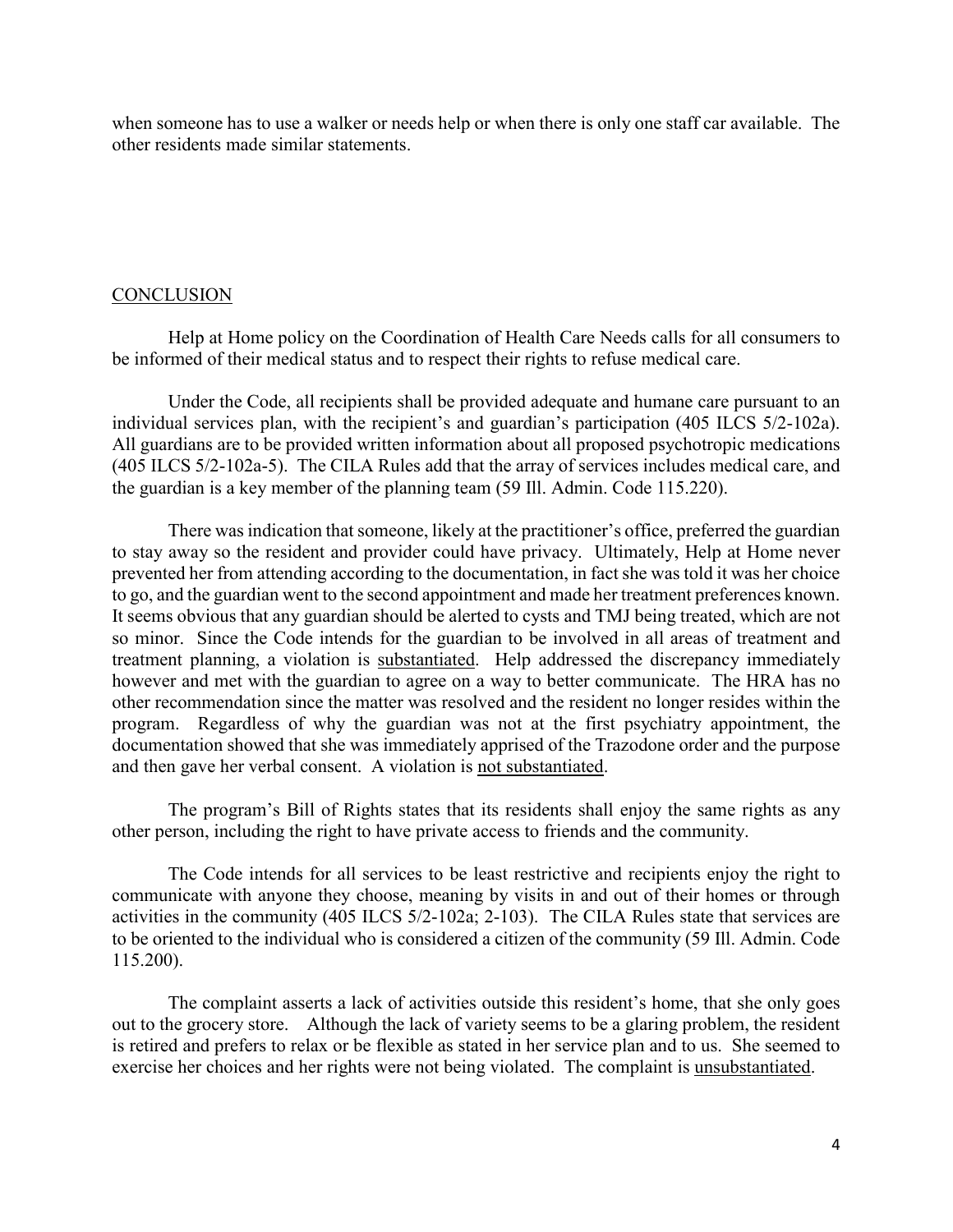when someone has to use a walker or needs help or when there is only one staff car available. The other residents made similar statements.

### **CONCLUSION**

Help at Home policy on the Coordination of Health Care Needs calls for all consumers to be informed of their medical status and to respect their rights to refuse medical care.

Under the Code, all recipients shall be provided adequate and humane care pursuant to an individual services plan, with the recipient's and guardian's participation (405 ILCS 5/2-102a). All guardians are to be provided written information about all proposed psychotropic medications (405 ILCS 5/2-102a-5). The CILA Rules add that the array of services includes medical care, and the guardian is a key member of the planning team (59 Ill. Admin. Code 115.220).

There was indication that someone, likely at the practitioner's office, preferred the guardian to stay away so the resident and provider could have privacy. Ultimately, Help at Home never prevented her from attending according to the documentation, in fact she was told it was her choice to go, and the guardian went to the second appointment and made her treatment preferences known. It seems obvious that any guardian should be alerted to cysts and TMJ being treated, which are not so minor. Since the Code intends for the guardian to be involved in all areas of treatment and treatment planning, a violation is substantiated. Help addressed the discrepancy immediately however and met with the guardian to agree on a way to better communicate. The HRA has no other recommendation since the matter was resolved and the resident no longer resides within the program. Regardless of why the guardian was not at the first psychiatry appointment, the documentation showed that she was immediately apprised of the Trazodone order and the purpose and then gave her verbal consent. A violation is not substantiated.

The program's Bill of Rights states that its residents shall enjoy the same rights as any other person, including the right to have private access to friends and the community.

The Code intends for all services to be least restrictive and recipients enjoy the right to communicate with anyone they choose, meaning by visits in and out of their homes or through activities in the community (405 ILCS 5/2-102a; 2-103). The CILA Rules state that services are to be oriented to the individual who is considered a citizen of the community (59 Ill. Admin. Code 115.200).

The complaint asserts a lack of activities outside this resident's home, that she only goes out to the grocery store. Although the lack of variety seems to be a glaring problem, the resident is retired and prefers to relax or be flexible as stated in her service plan and to us. She seemed to exercise her choices and her rights were not being violated. The complaint is unsubstantiated.